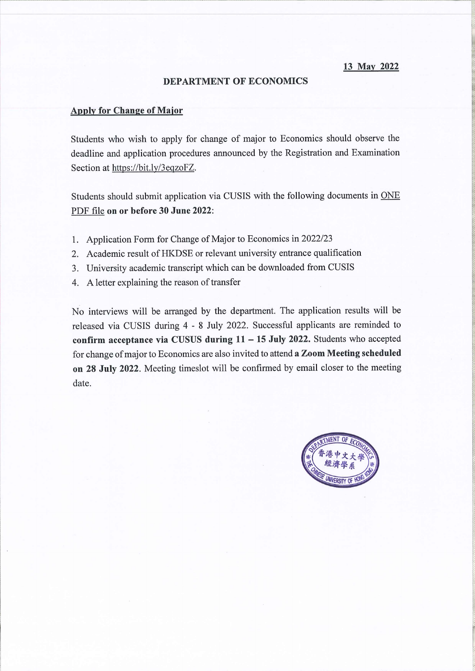13 May 2022

## **DEPARTMENT OF ECONOMICS**

## **Apply for Change of Major**

Students who wish to apply for change of major to Economics should observe the deadline and application procedures announced by the Registration and Examination Section at https://bit.ly/3eqzoFZ.

Students should submit application via CUSIS with the following documents in ONE PDF file on or before 30 June 2022:

- 1. Application Form for Change of Major to Economics in 2022/23
- 2. Academic result of HKDSE or relevant university entrance qualification
- 3. University academic transcript which can be downloaded from CUSIS
- 4. A letter explaining the reason of transfer

No interviews will be arranged by the department. The application results will be released via CUSIS during 4 - 8 July 2022. Successful applicants are reminded to confirm acceptance via CUSUS during  $11 - 15$  July 2022. Students who accepted for change of major to Economics are also invited to attend a Zoom Meeting scheduled on 28 July 2022. Meeting timeslot will be confirmed by email closer to the meeting date.